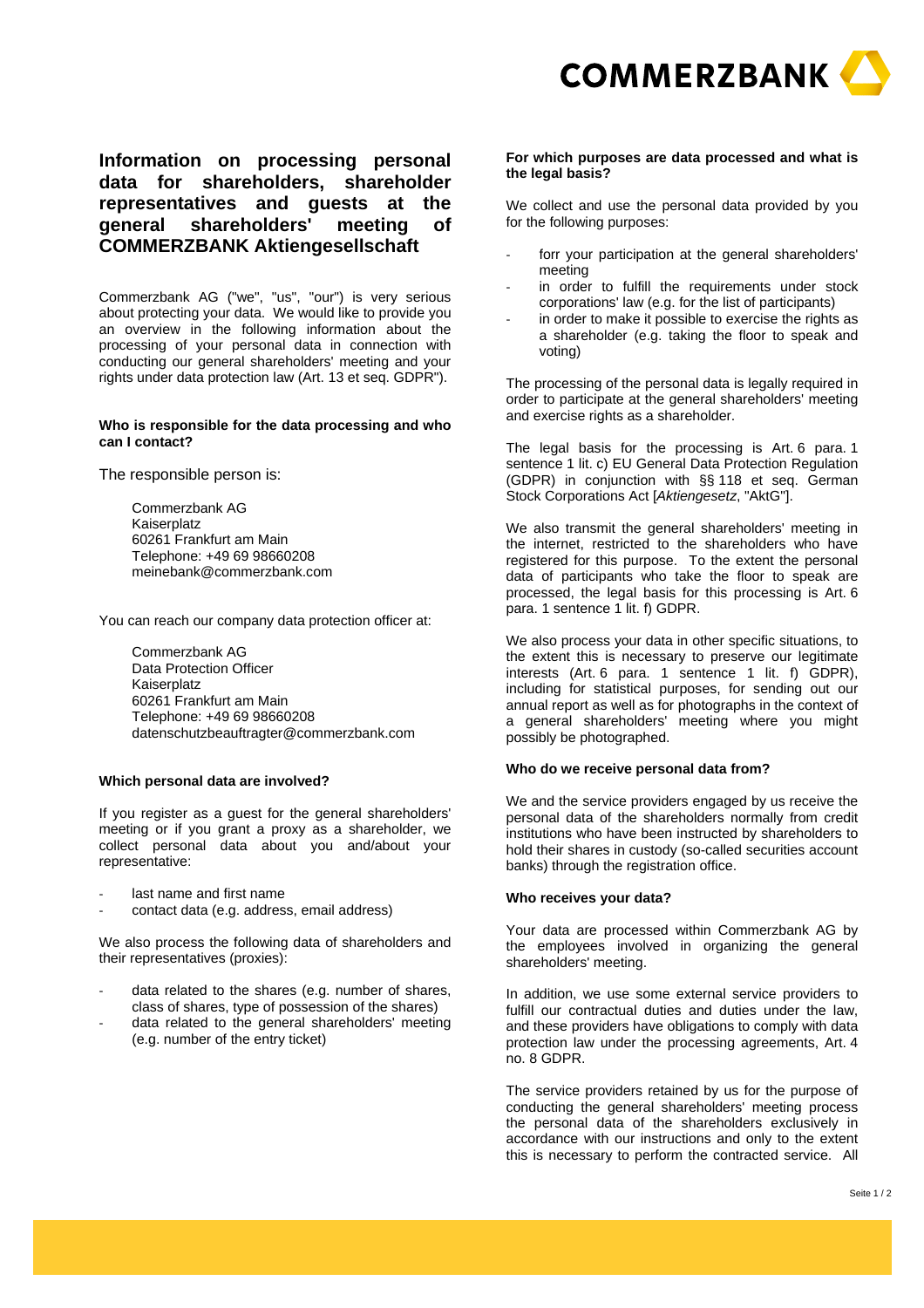

**Information on processing personal data for shareholders, shareholder representatives and guests at the general shareholders' meeting of COMMERZBANK Aktiengesellschaft** 

Commerzbank AG ("we", "us", "our") is very serious about protecting your data. We would like to provide you an overview in the following information about the processing of your personal data in connection with conducting our general shareholders' meeting and your rights under data protection law (Art. 13 et seq. GDPR").

# **Who is responsible for the data processing and who can I contact?**

The responsible person is:

Commerzbank AG Kaiserplatz 60261 Frankfurt am Main Telephone: +49 69 98660208 meinebank@commerzbank.com

You can reach our company data protection officer at:

Commerzbank AG Data Protection Officer Kaiserplatz 60261 Frankfurt am Main Telephone: +49 69 98660208 datenschutzbeauftragter@commerzbank.com

# **Which personal data are involved?**

If you register as a guest for the general shareholders' meeting or if you grant a proxy as a shareholder, we collect personal data about you and/about your representative:

- last name and first name
- contact data (e.g. address, email address)

We also process the following data of shareholders and their representatives (proxies):

- data related to the shares (e.g. number of shares, class of shares, type of possession of the shares)
- data related to the general shareholders' meeting (e.g. number of the entry ticket)

### **For which purposes are data processed and what is the legal basis?**

We collect and use the personal data provided by you for the following purposes:

- forr your participation at the general shareholders' meeting
- in order to fulfill the requirements under stock corporations' law (e.g. for the list of participants)
- in order to make it possible to exercise the rights as a shareholder (e.g. taking the floor to speak and voting)

The processing of the personal data is legally required in order to participate at the general shareholders' meeting and exercise rights as a shareholder.

The legal basis for the processing is Art. 6 para. 1 sentence 1 lit. c) EU General Data Protection Regulation (GDPR) in conjunction with §§ 118 et seq. German Stock Corporations Act [*Aktiengesetz*, "AktG"].

We also transmit the general shareholders' meeting in the internet, restricted to the shareholders who have registered for this purpose. To the extent the personal data of participants who take the floor to speak are processed, the legal basis for this processing is Art. 6 para. 1 sentence 1 lit. f) GDPR.

We also process your data in other specific situations, to the extent this is necessary to preserve our legitimate interests (Art. 6 para. 1 sentence 1 lit. f) GDPR), including for statistical purposes, for sending out our annual report as well as for photographs in the context of a general shareholders' meeting where you might possibly be photographed.

#### **Who do we receive personal data from?**

We and the service providers engaged by us receive the personal data of the shareholders normally from credit institutions who have been instructed by shareholders to hold their shares in custody (so-called securities account banks) through the registration office.

### **Who receives your data?**

Your data are processed within Commerzbank AG by the employees involved in organizing the general shareholders' meeting.

In addition, we use some external service providers to fulfill our contractual duties and duties under the law, and these providers have obligations to comply with data protection law under the processing agreements, Art. 4 no. 8 GDPR.

The service providers retained by us for the purpose of conducting the general shareholders' meeting process the personal data of the shareholders exclusively in accordance with our instructions and only to the extent this is necessary to perform the contracted service. All